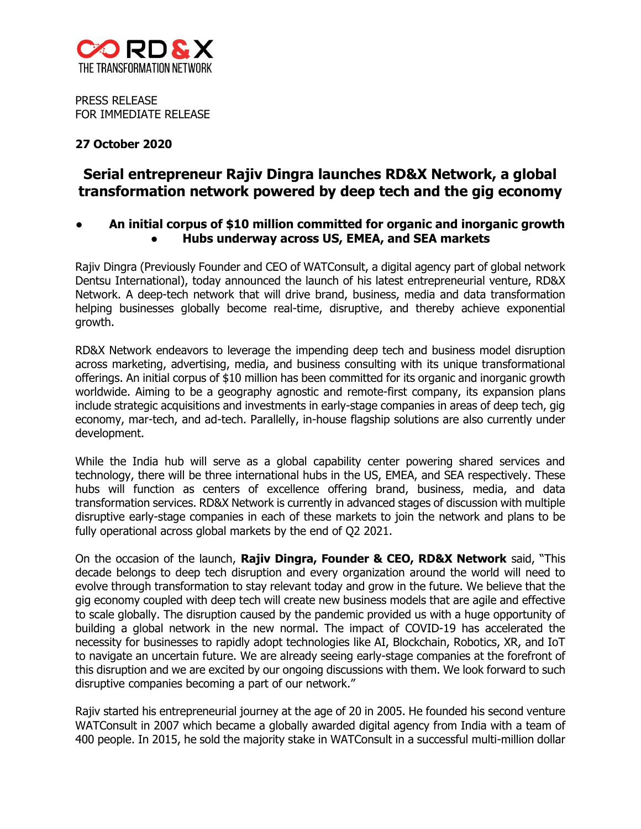

PRESS RELEASE FOR IMMEDIATE RELEASE

## **27 October 2020**

## **Serial entrepreneur Rajiv Dingra launches RD&X Network, a global transformation network powered by deep tech and the gig economy**

## ● **An initial corpus of \$10 million committed for organic and inorganic growth ● Hubs underway across US, EMEA, and SEA markets**

Rajiv Dingra (Previously Founder and CEO of WATConsult, a digital agency part of global network Dentsu International), today announced the launch of his latest entrepreneurial venture, RD&X Network. A deep-tech network that will drive brand, business, media and data transformation helping businesses globally become real-time, disruptive, and thereby achieve exponential growth.

RD&X Network endeavors to leverage the impending deep tech and business model disruption across marketing, advertising, media, and business consulting with its unique transformational offerings. An initial corpus of \$10 million has been committed for its organic and inorganic growth worldwide. Aiming to be a geography agnostic and remote-first company, its expansion plans include strategic acquisitions and investments in early-stage companies in areas of deep tech, gig economy, mar-tech, and ad-tech. Parallelly, in-house flagship solutions are also currently under development.

While the India hub will serve as a global capability center powering shared services and technology, there will be three international hubs in the US, EMEA, and SEA respectively. These hubs will function as centers of excellence offering brand, business, media, and data transformation services. RD&X Network is currently in advanced stages of discussion with multiple disruptive early-stage companies in each of these markets to join the network and plans to be fully operational across global markets by the end of Q2 2021.

On the occasion of the launch, **Rajiv Dingra, Founder & CEO, RD&X Network** said, "This decade belongs to deep tech disruption and every organization around the world will need to evolve through transformation to stay relevant today and grow in the future. We believe that the gig economy coupled with deep tech will create new business models that are agile and effective to scale globally. The disruption caused by the pandemic provided us with a huge opportunity of building a global network in the new normal. The impact of COVID-19 has accelerated the necessity for businesses to rapidly adopt technologies like AI, Blockchain, Robotics, XR, and IoT to navigate an uncertain future. We are already seeing early-stage companies at the forefront of this disruption and we are excited by our ongoing discussions with them. We look forward to such disruptive companies becoming a part of our network."

Rajiv started his entrepreneurial journey at the age of 20 in 2005. He founded his second venture WATConsult in 2007 which became a globally awarded digital agency from India with a team of 400 people. In 2015, he sold the majority stake in WATConsult in a successful multi-million dollar